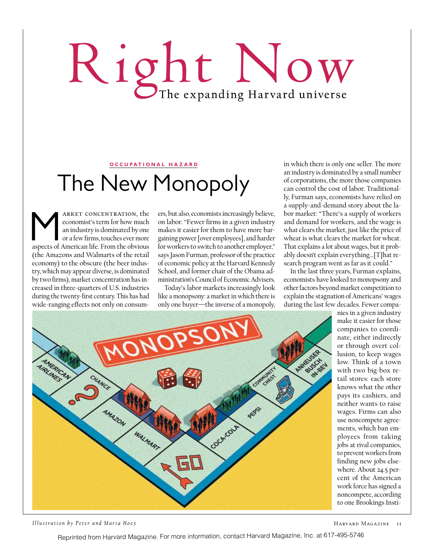# Right Now

#### **OCCUPATIONAL HAZARD**

## The New Monopoly

ARKET CONCENTRATION, the economist's term for how much an industry is dominated by one or a few firms, touches ever more aspects of American life. From the obvious economist's term for how much an industry is dominated by one or a few firms, touches ever more (the Amazons and Walmarts of the retail economy) to the obscure (the beer industry, which may appear diverse, is dominated by two firms), market concentration has increased in three-quarters of U.S. industries during the twenty-first century. This has had wide-ranging effects not only on consum-

ers, but also, economists increasingly believe, on labor. "Fewer firms in a given industry makes it easier for them to have more bargaining power [over employees], and harder for workers to switch to another employer," says Jason Furman, professor of the practice of economic policy at the Harvard Kennedy School, and former chair of the Obama administration's Council of Economic Advisers.

Today's labor markets increasingly look like a monopsony: a market in which there is only one buyer—the inverse of a monopoly, in which there is only one seller. The more an industry is dominated by a small number of corporations, the more those companies can control the cost of labor. Traditionally, Furman says, economists have relied on a supply-and-demand story about the labor market: "There's a supply of workers and demand for workers, and the wage is what clears the market, just like the price of wheat is what clears the market for wheat. That explains a lot about wages, but it probably doesn't explain everything…[T]hat research program went as far as it could."

In the last three years, Furman explains, economists have looked to monopsony and other factors beyond market competition to explain the stagnation of Americans' wages during the last few decades. Fewer compa-



*Illustration by Peter and Maria Hoe y*

Harvard Magazine 11

Reprinted from Harvard Magazine. For more information, contact Harvard Magazine, Inc. at 617-495-5746